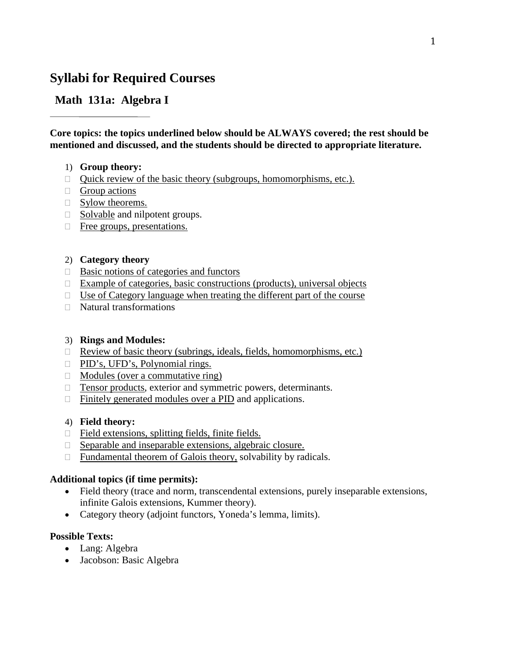# **Syllabi for Required Courses**

# **Math 131a: Algebra I**

**Core topics: the topics underlined below should be ALWAYS covered; the rest should be mentioned and discussed, and the students should be directed to appropriate literature.**

### 1) **Group theory:**

- $\Box$  Quick review of the basic theory (subgroups, homomorphisms, etc.).
- $\Box$  Group actions
- $\Box$  Sylow theorems.
- $\Box$  Solvable and nilpotent groups.
- Free groups, presentations.

### 2) **Category theory**

- $\Box$  Basic notions of categories and functors
- $\Box$  Example of categories, basic constructions (products), universal objects
- $\Box$  Use of Category language when treating the different part of the course
- Natural transformations

### 3) **Rings and Modules:**

- $\Box$  Review of basic theory (subrings, ideals, fields, homomorphisms, etc.)
- □ PID's, UFD's, Polynomial rings.
- $\Box$  Modules (over a commutative ring)
- □ Tensor products, exterior and symmetric powers, determinants.
- $\Box$  Finitely generated modules over a PID and applications.

## 4) **Field theory:**

- □ Field extensions, splitting fields, finite fields.
- $\Box$  Separable and inseparable extensions, algebraic closure.
- $\Box$  Fundamental theorem of Galois theory, solvability by radicals.

### **Additional topics (if time permits):**

- Field theory (trace and norm, transcendental extensions, purely inseparable extensions, infinite Galois extensions, Kummer theory).
- Category theory (adjoint functors, Yoneda's lemma, limits).

- Lang: Algebra
- Jacobson: Basic Algebra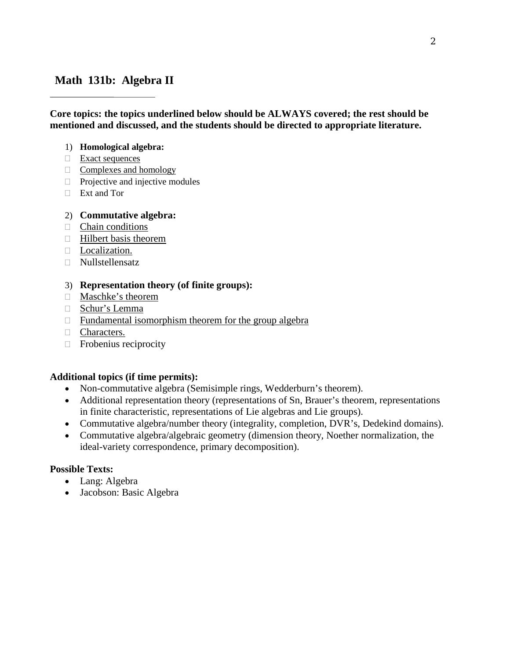# **Math 131b: Algebra II**

**Core topics: the topics underlined below should be ALWAYS covered; the rest should be mentioned and discussed, and the students should be directed to appropriate literature.**

### 1) **Homological algebra:**

- $\Box$  Exact sequences
- $\Box$  Complexes and homology
- $\Box$  Projective and injective modules
- Ext and Tor

## 2) **Commutative algebra:**

- $\Box$  Chain conditions
- $\Box$  Hilbert basis theorem
- D Localization.
- Nullstellensatz

## 3) **Representation theory (of finite groups):**

- Maschke's theorem
- Schur's Lemma
- $\Box$  Fundamental isomorphism theorem for the group algebra
- **Characters.**
- $\Box$  Frobenius reciprocity

## **Additional topics (if time permits):**

- Non-commutative algebra (Semisimple rings, Wedderburn's theorem).
- Additional representation theory (representations of Sn, Brauer's theorem, representations in finite characteristic, representations of Lie algebras and Lie groups).
- Commutative algebra/number theory (integrality, completion, DVR's, Dedekind domains).
- Commutative algebra/algebraic geometry (dimension theory, Noether normalization, the ideal-variety correspondence, primary decomposition).

- Lang: Algebra
- Jacobson: Basic Algebra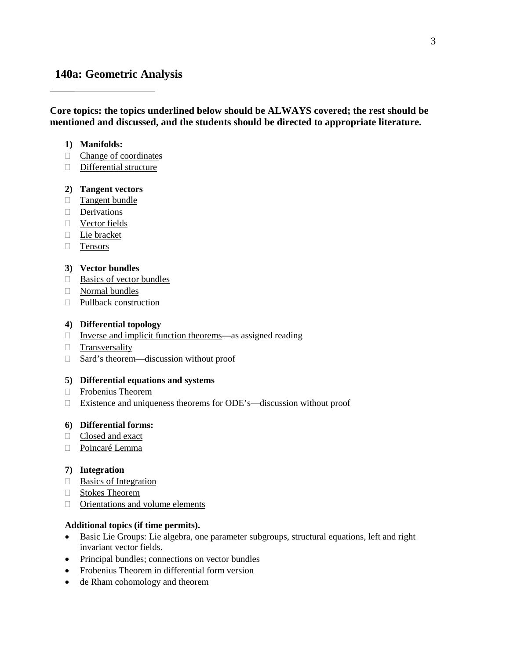# **140a: Geometric Analysis**

**Core topics: the topics underlined below should be ALWAYS covered; the rest should be mentioned and discussed, and the students should be directed to appropriate literature.**

#### **1) Manifolds:**

- □ Change of coordinates
- Differential structure

#### **2) Tangent vectors**

- **Tangent bundle**
- Derivations
- Vector fields
- □ Lie bracket
- **Tensors**

#### **3) Vector bundles**

- $\Box$  Basics of vector bundles
- Normal bundles
- □ Pullback construction

#### **4) Differential topology**

- $\Box$  Inverse and implicit function theorems—as assigned reading
- **Transversality**
- □ Sard's theorem—discussion without proof

#### **5) Differential equations and systems**

- $\Box$  Frobenius Theorem
- Existence and uniqueness theorems for ODE's—discussion without proof

#### **6) Differential forms:**

- Closed and exact
- Poincaré Lemma

#### **7) Integration**

- $\Box$  Basics of Integration
- Stokes Theorem
- Orientations and volume elements

#### **Additional topics (if time permits).**

- Basic Lie Groups: Lie algebra, one parameter subgroups, structural equations, left and right invariant vector fields.
- Principal bundles; connections on vector bundles
- Frobenius Theorem in differential form version
- de Rham cohomology and theorem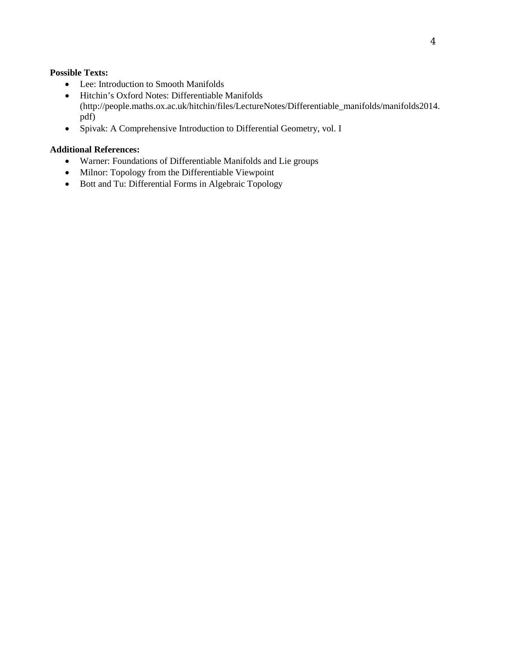#### **Possible Texts:**

- Lee: Introduction to Smooth Manifolds
- Hitchin's Oxford Notes: Differentiable Manifolds (http://people.maths.ox.ac.uk/hitchin/files/LectureNotes/Differentiable\_manifolds/manifolds2014. pdf)
- Spivak: A Comprehensive Introduction to Differential Geometry, vol. I

### **Additional References:**

- Warner: Foundations of Differentiable Manifolds and Lie groups
- Milnor: Topology from the Differentiable Viewpoint
- Bott and Tu: Differential Forms in Algebraic Topology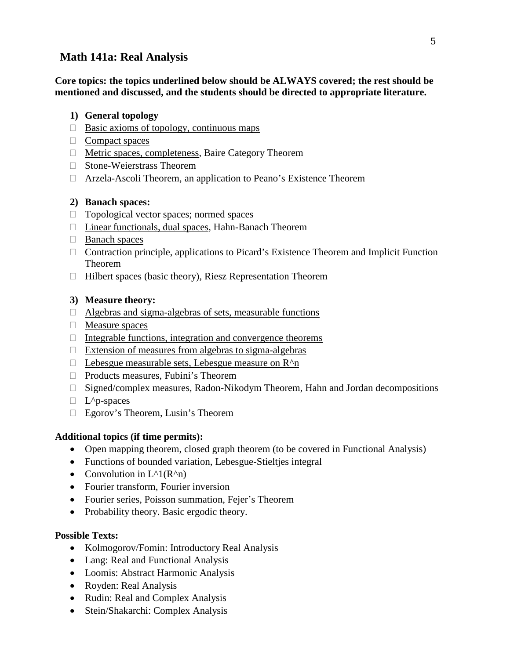# **Math 141a: Real Analysis**

**Core topics: the topics underlined below should be ALWAYS covered; the rest should be mentioned and discussed, and the students should be directed to appropriate literature.**

## **1) General topology**

- $\Box$  Basic axioms of topology, continuous maps
- $\Box$  Compact spaces
- □ Metric spaces, completeness, Baire Category Theorem
- □ Stone-Weierstrass Theorem
- Arzela-Ascoli Theorem, an application to Peano's Existence Theorem

# **2) Banach spaces:**

- $\Box$  Topological vector spaces; normed spaces
- □ Linear functionals, dual spaces, Hahn-Banach Theorem
- □ Banach spaces
- $\Box$  Contraction principle, applications to Picard's Existence Theorem and Implicit Function Theorem
- $\Box$  Hilbert spaces (basic theory), Riesz Representation Theorem

# **3) Measure theory:**

- $\Box$  Algebras and sigma-algebras of sets, measurable functions
- Measure spaces
- $\Box$  Integrable functions, integration and convergence theorems
- $\Box$  Extension of measures from algebras to sigma-algebras
- $\Box$  Lebesgue measurable sets, Lebesgue measure on  $R^{\wedge}$
- □ Products measures, Fubini's Theorem
- □ Signed/complex measures, Radon-Nikodym Theorem, Hahn and Jordan decompositions
- $\Box$  L<sup> $\wedge$ </sup>p-spaces
- □ Egorov's Theorem, Lusin's Theorem

## **Additional topics (if time permits):**

- Open mapping theorem, closed graph theorem (to be covered in Functional Analysis)
- Functions of bounded variation, Lebesgue-Stieltjes integral
- Convolution in  $L^{\wedge}1(R^{\wedge}n)$
- Fourier transform, Fourier inversion
- Fourier series, Poisson summation, Fejer's Theorem
- Probability theory. Basic ergodic theory.

- Kolmogorov/Fomin: Introductory Real Analysis
- Lang: Real and Functional Analysis
- Loomis: Abstract Harmonic Analysis
- Royden: Real Analysis
- Rudin: Real and Complex Analysis
- Stein/Shakarchi: Complex Analysis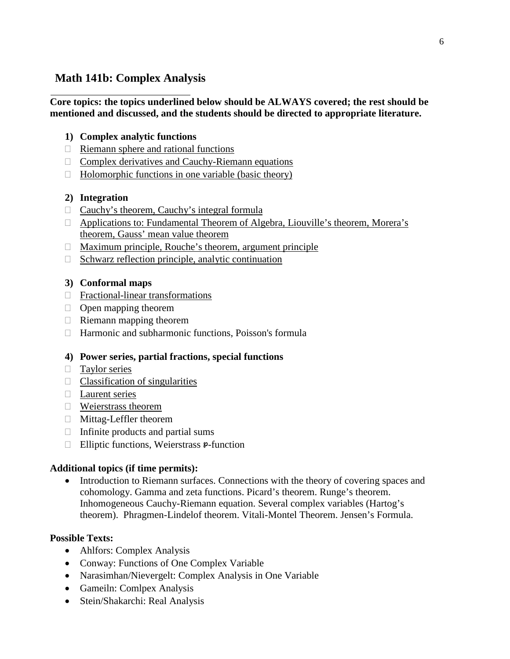# **Math 141b: Complex Analysis**

## **Core topics: the topics underlined below should be ALWAYS covered; the rest should be mentioned and discussed, and the students should be directed to appropriate literature.**

# **1) Complex analytic functions**

- $\Box$  Riemann sphere and rational functions
- $\Box$  Complex derivatives and Cauchy-Riemann equations
- $\Box$  Holomorphic functions in one variable (basic theory)

# **2) Integration**

- $\Box$  Cauchy's theorem, Cauchy's integral formula
- □ Applications to: Fundamental Theorem of Algebra, Liouville's theorem, Morera's theorem, Gauss' mean value theorem
- $\Box$  Maximum principle, Rouche's theorem, argument principle
- $\Box$  Schwarz reflection principle, analytic continuation

# **3) Conformal maps**

- □ Fractional-linear transformations
- $\Box$  Open mapping theorem
- $\Box$  Riemann mapping theorem
- $\Box$  Harmonic and subharmonic functions, Poisson's formula

# **4) Power series, partial fractions, special functions**

- **Taylor series**
- $\Box$  Classification of singularities
- Laurent series
- Weierstrass theorem
- Mittag-Leffler theorem
- $\Box$  Infinite products and partial sums
- $\Box$  Elliptic functions, Weierstrass  $\mathfrak{p}\text{-}$  function

# **Additional topics (if time permits):**

• Introduction to Riemann surfaces. Connections with the theory of covering spaces and cohomology. Gamma and zeta functions. Picard's theorem. Runge's theorem. Inhomogeneous Cauchy-Riemann equation. Several complex variables (Hartog's theorem). Phragmen-Lindelof theorem. Vitali-Montel Theorem. Jensen's Formula.

- Ahlfors: Complex Analysis
- Conway: Functions of One Complex Variable
- Narasimhan/Nievergelt: Complex Analysis in One Variable
- Gameiln: Comlpex Analysis
- Stein/Shakarchi: Real Analysis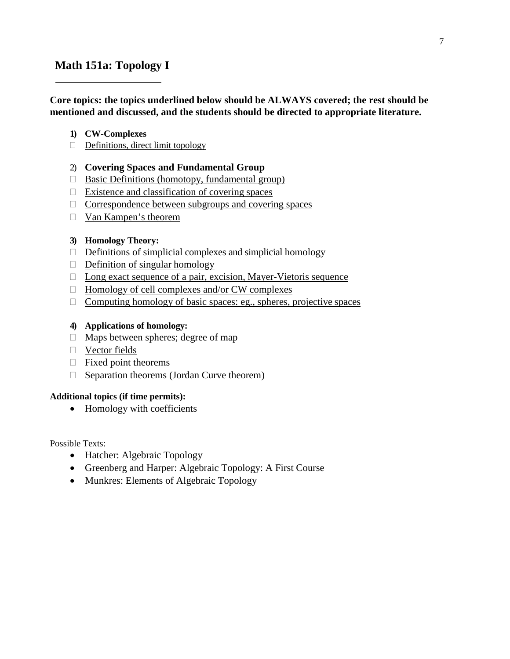# **Math 151a: Topology I**

### **Core topics: the topics underlined below should be ALWAYS covered; the rest should be mentioned and discussed, and the students should be directed to appropriate literature.**

### **1) CW-Complexes**

 $\Box$  Definitions, direct limit topology

### 2) **Covering Spaces and Fundamental Group**

- □ Basic Definitions (homotopy, fundamental group)
- $\Box$  Existence and classification of covering spaces
- $\Box$  Correspondence between subgroups and covering spaces
- Van Kampen's theorem

### **3) Homology Theory:**

- $\Box$  Definitions of simplicial complexes and simplicial homology
- $\Box$  Definition of singular homology
- □ Long exact sequence of a pair, excision, Mayer-Vietoris sequence
- $\Box$  Homology of cell complexes and/or CW complexes
- $\Box$  Computing homology of basic spaces: eg., spheres, projective spaces

### **4) Applications of homology:**

- $\Box$  Maps between spheres; degree of map
- **Vector fields**
- $\Box$  Fixed point theorems
- $\Box$  Separation theorems (Jordan Curve theorem)

### **Additional topics (if time permits):**

• Homology with coefficients

- Hatcher: Algebraic Topology
- Greenberg and Harper: Algebraic Topology: A First Course
- Munkres: Elements of Algebraic Topology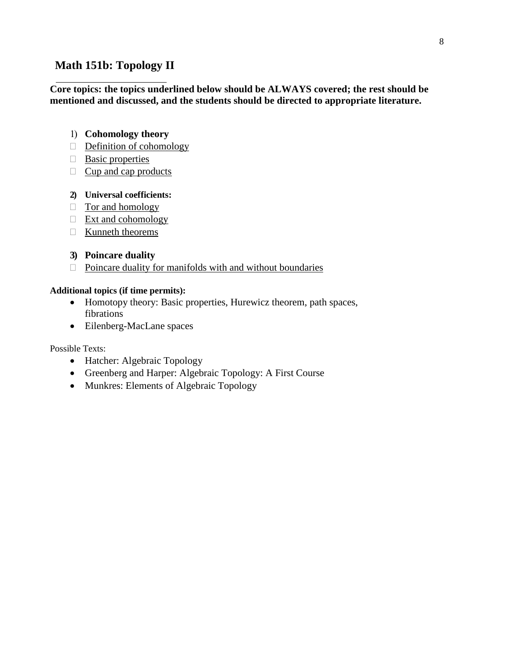# **Math 151b: Topology II**

### **Core topics: the topics underlined below should be ALWAYS covered; the rest should be mentioned and discussed, and the students should be directed to appropriate literature.**

## 1) **Cohomology theory**

- $\Box$  Definition of cohomology
- $\Box$  Basic properties
- $\Box$  Cup and cap products

## **2) Universal coefficients:**

- $\Box$  Tor and homology
- $\Box$  Ext and cohomology
- $\Box$  Kunneth theorems

# **3) Poincare duality**

 $\Box$  Poincare duality for manifolds with and without boundaries

## **Additional topics (if time permits):**

- Homotopy theory: Basic properties, Hurewicz theorem, path spaces, fibrations
- Eilenberg-MacLane spaces

- Hatcher: Algebraic Topology
- Greenberg and Harper: Algebraic Topology: A First Course
- Munkres: Elements of Algebraic Topology